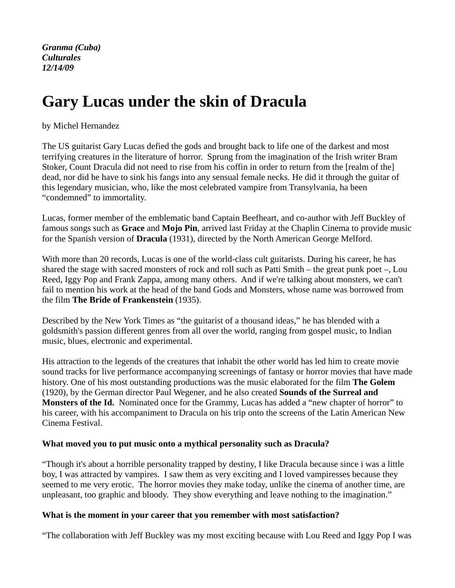*Granma (Cuba) Culturales 12/14/09* 

# **Gary Lucas under the skin of Dracula**

by Michel Hernandez

The US guitarist Gary Lucas defied the gods and brought back to life one of the darkest and most terrifying creatures in the literature of horror. Sprung from the imagination of the Irish writer Bram Stoker, Count Dracula did not need to rise from his coffin in order to return from the [realm of the] dead, nor did he have to sink his fangs into any sensual female necks. He did it through the guitar of this legendary musician, who, like the most celebrated vampire from Transylvania, ha been "condemned" to immortality.

Lucas, former member of the emblematic band Captain Beefheart, and co-author with Jeff Buckley of famous songs such as **Grace** and **Mojo Pin**, arrived last Friday at the Chaplin Cinema to provide music for the Spanish version of **Dracula** (1931), directed by the North American George Melford.

With more than 20 records, Lucas is one of the world-class cult guitarists. During his career, he has shared the stage with sacred monsters of rock and roll such as Patti Smith – the great punk poet –, Lou Reed, Iggy Pop and Frank Zappa, among many others. And if we're talking about monsters, we can't fail to mention his work at the head of the band Gods and Monsters, whose name was borrowed from the film **The Bride of Frankenstein** (1935).

Described by the New York Times as "the guitarist of a thousand ideas," he has blended with a goldsmith's passion different genres from all over the world, ranging from gospel music, to Indian music, blues, electronic and experimental.

His attraction to the legends of the creatures that inhabit the other world has led him to create movie sound tracks for live performance accompanying screenings of fantasy or horror movies that have made history. One of his most outstanding productions was the music elaborated for the film **The Golem**  (1920), by the German director Paul Wegener, and he also created **Sounds of the Surreal and Monsters of the Id.** Nominated once for the Grammy, Lucas has added a "new chapter of horror" to his career, with his accompaniment to Dracula on his trip onto the screens of the Latin American New Cinema Festival.

# **What moved you to put music onto a mythical personality such as Dracula?**

"Though it's about a horrible personality trapped by destiny, I like Dracula because since i was a little boy, I was attracted by vampires. I saw them as very exciting and I loved vampiresses because they seemed to me very erotic. The horror movies they make today, unlike the cinema of another time, are unpleasant, too graphic and bloody. They show everything and leave nothing to the imagination."

# **What is the moment in your career that you remember with most satisfaction?**

"The collaboration with Jeff Buckley was my most exciting because with Lou Reed and Iggy Pop I was